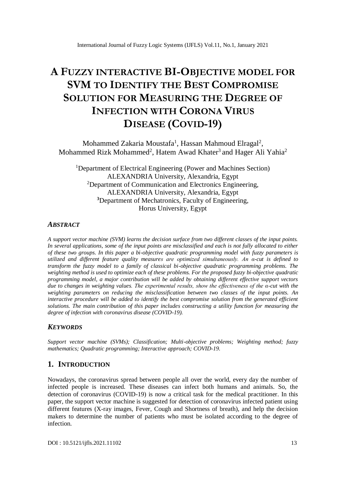# **A FUZZY INTERACTIVE BI-OBJECTIVE MODEL FOR SVM TO IDENTIFY THE BEST COMPROMISE SOLUTION FOR MEASURING THE DEGREE OF INFECTION WITH CORONA VIRUS DISEASE (COVID-19)**

Mohammed Zakaria Moustafa<sup>1</sup>, Hassan Mahmoud Elragal<sup>2</sup>, Mohammed Rizk Mohammed<sup>2</sup>, Hatem Awad Khater<sup>3</sup> and Hager Ali Yahia<sup>2</sup>

<sup>1</sup>Department of Electrical Engineering (Power and Machines Section) ALEXANDRIA University, Alexandria, Egypt <sup>2</sup>Department of Communication and Electronics Engineering, ALEXANDRIA University, Alexandria, Egypt **<sup>3</sup>**Department of Mechatronics, Faculty of Engineering, Horus University, Egypt

## *ABSTRACT*

*A support vector machine (SVM) learns the decision surface from two different classes of the input points. In several applications, some of the input points are misclassified and each is not fully allocated to either of these two groups. In this paper a bi-objective quadratic programming model with fuzzy parameters is utilized and different feature quality measures are optimized simultaneously. An α-cut is defined to transform the fuzzy model to a family of classical bi-objective quadratic programming problems. The weighting method is used to optimize each of these problems. For the proposed fuzzy bi-objective quadratic programming model, a major contribution will be added by obtaining different effective support vectors due to changes in weighting values. The experimental results, show the effectiveness of the α-cut with the weighting parameters on reducing the misclassification between two classes of the input points. An interactive procedure will be added to identify the best compromise solution from the generated efficient solutions. The main contribution of this paper includes constructing a utility function for measuring the degree of infection with coronavirus disease (COVID-19).*

## *KEYWORDS*

*Support vector machine (SVMs); Classification; Multi-objective problems; Weighting method; fuzzy mathematics; Quadratic programming; Interactive approach; COVID-19.*

# **1. INTRODUCTION**

Nowadays, the coronavirus spread between people all over the world, every day the number of infected people is increased. These diseases can infect both humans and animals. So, the detection of coronavirus (COVID-19) is now a critical task for the medical practitioner. In this paper, the support vector machine is suggested for detection of coronavirus infected patient using different features (X-ray images, Fever, Cough and Shortness of breath), and help the decision makers to determine the number of patients who must be isolated according to the degree of infection.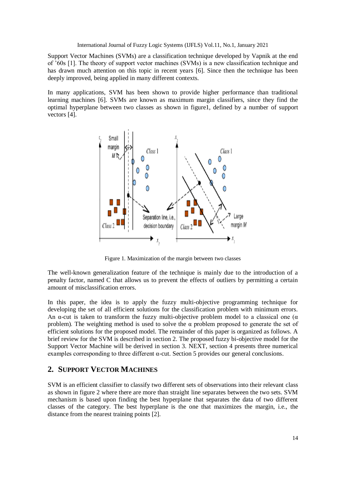Support Vector Machines (SVMs) are a classification technique developed by Vapnik at the end of '60s [1]. The theory of support vector machines (SVMs) is a new classification technique and has drawn much attention on this topic in recent years [6]. Since then the technique has been deeply improved, being applied in many different contexts.

In many applications, SVM has been shown to provide higher performance than traditional learning machines [6]. SVMs are known as maximum margin classifiers, since they find the optimal hyperplane between two classes as shown in figure1, defined by a number of support vectors [4].



Figure 1. Maximization of the margin between two classes

The well-known generalization feature of the technique is mainly due to the introduction of a penalty factor, named C that allows us to prevent the effects of outliers by permitting a certain amount of misclassification errors.

In this paper, the idea is to apply the fuzzy multi-objective programming technique for developing the set of all efficient solutions for the classification problem with minimum errors. An  $\alpha$ -cut is taken to transform the fuzzy multi-objective problem model to a classical one ( $\alpha$ ) problem). The weighting method is used to solve the  $\alpha$  problem proposed to generate the set of efficient solutions for the proposed model. The remainder of this paper is organized as follows. A brief review for the SVM is described in section 2. The proposed fuzzy bi-objective model for the Support Vector Machine will be derived in section 3. NEXT, section 4 presents three numerical examples corresponding to three different α-cut. Section 5 provides our general conclusions.

# **2. SUPPORT VECTOR MACHINES**

SVM is an efficient classifier to classify two different sets of observations into their relevant class as shown in figure 2 where there are more than straight line separates between the two sets. SVM mechanism is based upon finding the best hyperplane that separates the data of two different classes of the category. The best hyperplane is the one that maximizes the margin, i.e., the distance from the nearest training points [2].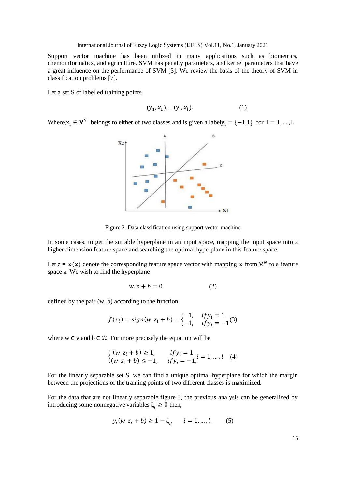Support vector machine has been utilized in many applications such as biometrics, chemoinformatics, and agriculture. SVM has penalty parameters, and kernel parameters that have a great influence on the performance of SVM [3]. We review the basis of the theory of SVM in classification problems [7].

Let a set S of labelled training points

$$
(y_1, x_1) \dots (y_l, x_l).
$$
 (1)

Where,  $x_i \in \mathbb{R}^N$  belongs to either of two classes and is given a labely<sub>i</sub> = {-1,1} for i = 1, ..., l.



Figure 2. Data classification using support vector machine

In some cases, to get the suitable hyperplane in an input space, mapping the input space into a higher dimension feature space and searching the optimal hyperplane in this feature space.

Let  $z = \varphi(x)$  denote the corresponding feature space vector with mapping  $\varphi$  from  $\mathcal{R}^N$  to a feature space  $\overline{z}$ . We wish to find the hyperplane

$$
w. z + b = 0 \tag{2}
$$

defined by the pair (w, b) according to the function

$$
f(x_i) = sign(w. z_i + b) = \begin{cases} 1, & if y_i = 1 \\ -1, & if y_i = -1 \end{cases}
$$

where  $w \in \mathbf{z}$  and  $b \in \mathcal{R}$ . For more precisely the equation will be

$$
\begin{cases} (w.z_i + b) \ge 1, & if y_i = 1 \ (w.z_i + b) \le -1, & if y_i = -1, i = 1, ..., l \end{cases}
$$
 (4)

For the linearly separable set S, we can find a unique optimal hyperplane for which the margin between the projections of the training points of two different classes is maximized.

For the data that are not linearly separable figure 3, the previous analysis can be generalized by introducing some nonnegative variables  $\xi_i \geq 0$  then,

$$
y_i(w. z_i + b) \ge 1 - \xi_i, \quad i = 1, ..., l.
$$
 (5)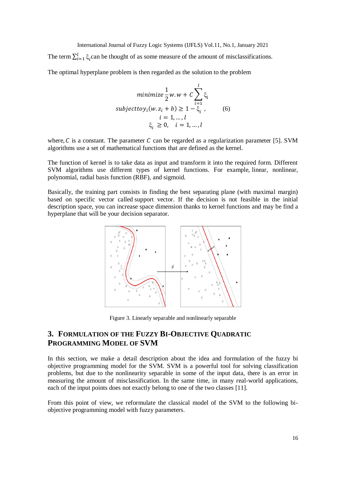The term  $\sum_{i=1}^{l} \xi_i$  $_{i=1}^{l} \xi_i$  can be thought of as some measure of the amount of misclassifications.

The optimal hyperplane problem is then regarded as the solution to the problem

$$
\text{minimize } \frac{1}{2}w. w + C \sum_{i=1}^{l} \xi_i
$$
\n
$$
\text{subject to } y_i(w. z_i + b) \ge 1 - \xi_i \tag{6}
$$
\n
$$
i = 1, \dots, l
$$
\n
$$
\xi_i \ge 0, \quad i = 1, \dots, l
$$

where,  $C$  is a constant. The parameter  $C$  can be regarded as a regularization parameter [5]. SVM algorithms use a set of mathematical functions that are defined as the kernel.

The function of kernel is to take data as input and transform it into the required form. Different SVM algorithms use different types of kernel functions. For example, linear, nonlinear, polynomial, radial basis function (RBF), and sigmoid.

Basically, the training part consists in finding the best separating plane (with maximal margin) based on specific vector called support vector. If the decision is not feasible in the initial description space, you can increase space dimension thanks to kernel functions and may be find a hyperplane that will be your decision separator.



Figure 3. Linearly separable and nonlinearly separable

# **3. FORMULATION OF THE FUZZY BI-OBJECTIVE QUADRATIC PROGRAMMING MODEL OF SVM**

In this section, we make a detail description about the idea and formulation of the fuzzy bi objective programming model for the SVM. SVM is a powerful tool for solving classification problems, but due to the nonlinearity separable in some of the input data, there is an error in measuring the amount of misclassification. In the same time, in many real-world applications, each of the input points does not exactly belong to one of the two classes [11].

From this point of view, we reformulate the classical model of the SVM to the following biobjective programming model with fuzzy parameters.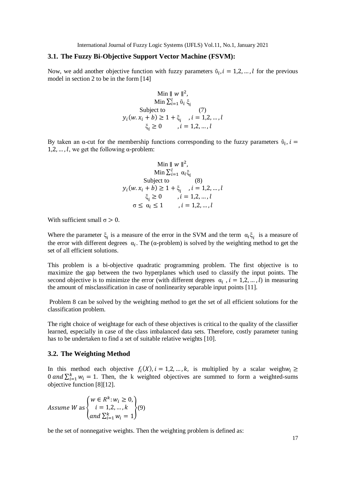International Journal of Fuzzy Logic Systems (IJFLS) Vol.11, No.1, January 2021

#### **3.1. The Fuzzy Bi-Objective Support Vector Machine (FSVM):**

Now, we add another objective function with fuzzy parameters  $\tilde{v}_i$ ,  $i = 1, 2, ..., l$  for the previous model in section 2 to be in the form [14]

Min || w ||<sup>2</sup>,  
\nMin 
$$
\sum_{i=1}^{l} \tilde{v}_i \xi_i
$$
  
\nSubject to  
\n $y_i(w.x_i + b) \ge 1 + \xi_i$ ,  $i = 1,2,...,l$   
\n $\xi_i \ge 0$ ,  $i = 1,2,...,l$ 

By taken an  $\alpha$ -cut for the membership functions corresponding to the fuzzy parameters  $\tilde{\nu}_i$ ,  $i =$ 1,2, ..., l, we get the following  $\alpha$ -problem:

$$
\begin{aligned}\n\text{Min } ||w||^2, \\
\text{Min } \sum_{i=1}^l \alpha_i \xi_i \\
\text{Subject to } \\
y_i(w.x_i + b) \ge 1 + \xi_i, \quad i = 1, 2, \dots, l \\
\xi_i \ge 0, \quad i = 1, 2, \dots, l \\
\sigma \le \alpha_i \le 1, \quad i = 1, 2, \dots, l\n\end{aligned}
$$

With sufficient small  $\sigma > 0$ .

Where the parameter  $\xi_i$  is a measure of the error in the SVM and the term  $\alpha_i \xi_i$  is a measure of the error with different degrees  $\alpha_i$ . The ( $\alpha$ -problem) is solved by the weighting method to get the set of all efficient solutions.

This problem is a bi-objective quadratic programming problem. The first objective is to maximize the gap between the two hyperplanes which used to classify the input points. The second objective is to minimize the error (with different degrees  $\alpha_i$ ,  $i = 1,2,...,l$ ) in measuring the amount of misclassification in case of nonlinearity separable input points [11].

Problem 8 can be solved by the weighting method to get the set of all efficient solutions for the classification problem.

The right choice of weightage for each of these objectives is critical to the quality of the classifier learned, especially in case of the class imbalanced data sets. Therefore, costly parameter tuning has to be undertaken to find a set of suitable relative weights [10].

#### **3.2. The Weighting Method**

In this method each objective  $f_i(X)$ ,  $i = 1, 2, ..., k$ , is multiplied by a scalar weigh $w_i \geq$ 0 and  $\sum_{i=1}^{k} w_i = 1$ . Then, the k weighted objectives are summed to form a weighted-sums objective function [8][12].

Assume W as 
$$
\begin{cases} w \in R^k : w_i \ge 0, \\ i = 1, 2, ..., k \\ and \sum_{i=1}^k w_i = 1 \end{cases}
$$
 (9)

be the set of nonnegative weights. Then the weighting problem is defined as: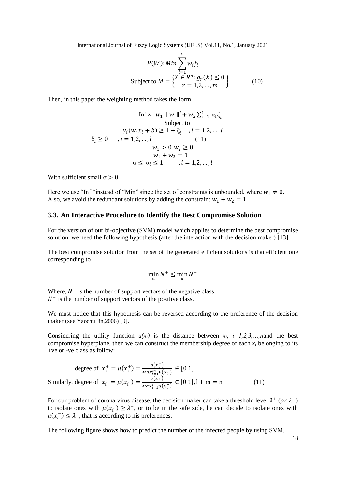International Journal of Fuzzy Logic Systems (IJFLS) Vol.11, No.1, January 2021

$$
P(W): Min \sum_{i=1}^{k} w_{i} f_{i}
$$
  
Subject to  $M = \begin{cases} X \in R^{n}: g_{r}(X) \le 0, \\ r = 1, 2, ..., m \end{cases}$  (10)

Then, in this paper the weighting method takes the form

$$
\text{Inf } z = w_1 \parallel w \parallel^2 + w_2 \sum_{i=1}^l \alpha_i \xi_i
$$
\n
$$
\text{Subject to}
$$
\n
$$
y_i(w \cdot x_i + b) \ge 1 + \xi_i \quad i = 1, 2, \dots, l
$$
\n
$$
\xi_i \ge 0 \quad i = 1, 2, \dots, l \quad (11)
$$
\n
$$
w_1 > 0, w_2 \ge 0
$$
\n
$$
w_1 + w_2 = 1
$$
\n
$$
\sigma \le \alpha_i \le 1 \quad i = 1, 2, \dots, l
$$

With sufficient small  $\sigma > 0$ 

Here we use "Inf" instead of "Min" since the set of constraints is unbounded, where  $w_1 \neq 0$ . Also, we avoid the redundant solutions by adding the constraint  $w_1 + w_2 = 1$ .

### **3.3. An Interactive Procedure to Identify the Best Compromise Solution**

For the version of our bi-objective (SVM) model which applies to determine the best compromise solution, we need the following hypothesis (after the interaction with the decision maker) [13]:

The best compromise solution from the set of the generated efficient solutions is that efficient one corresponding to

$$
\min_{\alpha} N^+ \le \min_{\alpha} N^-
$$

Where,  $N^-$  is the number of support vectors of the negative class,  $N^+$  is the number of support vectors of the positive class.

We must notice that this hypothesis can be reversed according to the preference of the decision maker (see Yaochu Jin,2006) [9].

Considering the utility function  $u(x_i)$  is the distance between  $x_i$ ,  $i=1,2,3,...,n$  and the best compromise hyperplane, then we can construct the membership degree of each  $x_i$  belonging to its +ve or -ve class as follow:

degree of 
$$
x_i^+ = \mu(x_i^+) = \frac{u(x_i^+)}{Max_{i=1}^m u(x_i^+)} \in [0 \ 1]
$$
  
Similarly, degree of  $x_i^- = \mu(x_i^-) = \frac{u(x_i^-)}{Max_{i=1}^m u(x_i^-)} \in [0 \ 1], l+m=n$  (11)

For our problem of corona virus disease, the decision maker can take a threshold level  $\lambda^+$  (or  $\lambda^-$ ) to isolate ones with  $\mu(x_i^+) \geq \lambda^+$ , or to be in the safe side, he can decide to isolate ones with  $\mu(x_i^-) \leq \lambda^-$ , that is according to his preferences.

The following figure shows how to predict the number of the infected people by using SVM.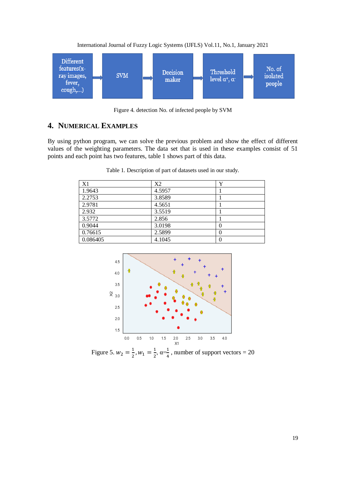



Figure 4. detection No. of infected people by SVM

# **4. NUMERICAL EXAMPLES**

By using python program, we can solve the previous problem and show the effect of different values of the weighting parameters. The data set that is used in these examples consist of 51 points and each point has two features, table 1 shows part of this data.

| X1       | X2     | v |
|----------|--------|---|
| 1.9643   | 4.5957 |   |
| 2.2753   | 3.8589 |   |
| 2.9781   | 4.5651 |   |
| 2.932    | 3.5519 |   |
| 3.5772   | 2.856  |   |
| 0.9044   | 3.0198 | O |
| 0.76615  | 2.5899 | 0 |
| 0.086405 | 4.1045 | 0 |

Table 1. Description of part of datasets used in our study.



Figure 5.  $w_2 = \frac{1}{2}$  $\frac{1}{2}$ ,  $W_1 = \frac{1}{2}$  $\frac{1}{2}$ ,  $\alpha = \frac{1}{4}$  $\frac{1}{4}$ , number of support vectors = 20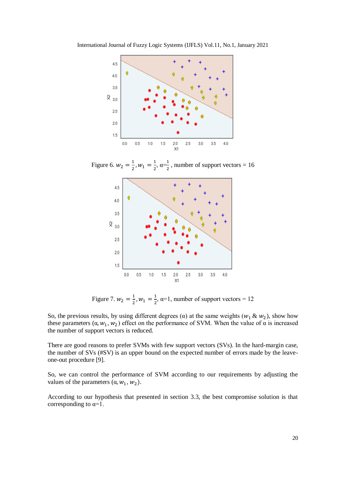

Figure 6.  $w_2 = \frac{1}{2}$  $\frac{1}{2}$ ,  $w_1 = \frac{1}{2}$  $\frac{1}{2}$ ,  $\alpha = \frac{1}{2}$  $\frac{1}{2}$ , number of support vectors = 16



Figure 7.  $w_2 = \frac{1}{2}$  $\frac{1}{2}$ ,  $w_1 = \frac{1}{2}$  $\frac{1}{2}$ ,  $\alpha=1$ , number of support vectors = 12

So, the previous results, by using different degrees ( $\alpha$ ) at the same weights ( $w_1 \& w_2$ ), show how these parameters  $(\alpha, w_1, w_2)$  effect on the performance of SVM. When the value of  $\alpha$  is increased the number of support vectors is reduced.

There are good reasons to prefer SVMs with few support vectors (SVs). In the hard-margin case, the number of SVs (#SV) is an upper bound on the expected number of errors made by the leaveone-out procedure [9].

So, we can control the performance of SVM according to our requirements by adjusting the values of the parameters  $(\alpha, w_1, w_2)$ .

According to our hypothesis that presented in section 3.3, the best compromise solution is that corresponding to  $\alpha=1$ .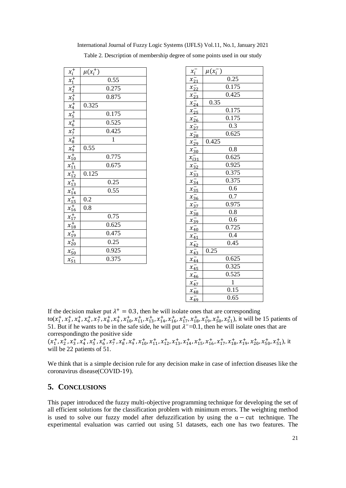| $x_i^+$                                                                                                                                                                  | $\mu(x_i^+)$       |
|--------------------------------------------------------------------------------------------------------------------------------------------------------------------------|--------------------|
|                                                                                                                                                                          | 0.55               |
|                                                                                                                                                                          | 0.275              |
|                                                                                                                                                                          | 0.875              |
| $\frac{x_1}{x_2} + \frac{x_3}{x_3} + \frac{x_4}{x_5} + \frac{x_5}{x_6} + \frac{x_7}{x_8}$                                                                                | 0.325              |
|                                                                                                                                                                          | 0.175              |
|                                                                                                                                                                          | 0.525              |
|                                                                                                                                                                          | 0.425              |
|                                                                                                                                                                          | $\mathbf{1}$       |
|                                                                                                                                                                          | 0.55               |
|                                                                                                                                                                          | 0.775              |
|                                                                                                                                                                          | 0.675              |
|                                                                                                                                                                          | 0.125              |
|                                                                                                                                                                          | 0.25               |
|                                                                                                                                                                          | 0.55               |
|                                                                                                                                                                          | 0.2                |
|                                                                                                                                                                          | 0.8                |
|                                                                                                                                                                          | 0.75               |
|                                                                                                                                                                          | 0.625              |
|                                                                                                                                                                          | 0.475              |
| $\begin{array}{c}\nx_9 + 10 + 11 \\ x_1 + 11 + 12 \\ x_1 + 11 + 13 + 14 \\ x_1 + 15 + 16 + 17 \\ x_1 + 18 + 19 + 18 \\ x_1 + 19 + 19 + 12 \\ x_2 + 10 + 19\n\end{array}$ | 0.25               |
| $x_{50}^{-}$                                                                                                                                                             | $\overline{0.925}$ |
| $x_{51}$                                                                                                                                                                 | 0.375              |

International Journal of Fuzzy Logic Systems (IJFLS) Vol.11, No.1, January 2021 Table 2. Description of membership degree of some points used in our study

| $x_i^-$      | $\mu(x_i^-)$       |
|--------------|--------------------|
| $x_{21}^-$   | 0.25               |
| $x_{22}^-$   | 0.175              |
| $x_{23}^-$   | 0.425              |
| $x_{24}^-$   | 0.35               |
| $x_{25}^-$   | 0.175              |
| $x_{26}^-$   | 0.175              |
| $x_{27}^-$   | 0.3                |
| $x_{28}^-$   | 0.625              |
| $x_{29}^{-}$ | 0.425              |
| $x_{30}^-$   | 0.8                |
| $x_{i31}^-$  | 0.625              |
| $x_{32}^-$   | 0.925              |
| $x_{33}^-$   | 0.375              |
| $x_{34}^-$   | 0.375              |
| $x_{35}^-$   | 0.6                |
| $x_{36}^-$   | 0.7                |
| $x_{37}^-$   | 0.975              |
| $x_{38}^-$   | 0.8                |
| $x_{39}^{-}$ | 0.6                |
| $x_{40}^-$   | $\overline{0.725}$ |
| $x_{41}^-$   | $\overline{0.4}$   |
| $x_{42}^{-}$ | 0.45               |
| $x_{43}^-$   | 0.25               |
| $x_{44}^-$   | 0.625              |
| $x_{45}^{-}$ | 0.325              |
| $x_{46}$     | 0.525              |
| $x_{47}^{-}$ | $\overline{1}$     |
| $x_{48}^-$   | 0.15               |
| $x_{49}^-$   | 0.65               |

 $\overline{\phantom{0}}$ 

If the decision maker put  $\lambda^+ = 0.3$ , then he will isolate ones that are corresponding  $\text{to}(x_1^+, x_3^+, x_4^+, x_6^+, x_7^+, x_8^+, x_9^+, x_{10}^+, x_{11}^+, x_{13}^+, x_{14}^+, x_{16}^+, x_{17}^+, x_{18}^+, x_{19}^+, x_{50}^+, x_{51}^+, \text{it will be 15 patients of }$ 51. But if he wants to be in the safe side, he will put  $\lambda^{\text{-}}=0.1$ , then he will isolate ones that are correspondingto the positive side

 $(x_1^+, x_2^+, x_3^+, x_4^+, x_5^+, x_6^+, x_7^+, x_8^+, x_9^+, x_{10}^+, x_{11}^+, x_{12}^+, x_{13}^+, x_{14}^+, x_{15}^+, x_{16}^+, x_{17}^+, x_{18}^+, x_{19}^+, x_{20}^+, x_{50}^+, x_{51}^+,$  it will be 22 patients of 51.

We think that is a simple decision rule for any decision make in case of infection diseases like the coronavirus disease(COVID-19).

## **5. CONCLUSIONS**

This paper introduced the fuzzy multi-objective programming technique for developing the set of all efficient solutions for the classification problem with minimum errors. The weighting method is used to solve our fuzzy model after defuzzification by using the  $\alpha$  – cut technique. The experimental evaluation was carried out using 51 datasets, each one has two features. The